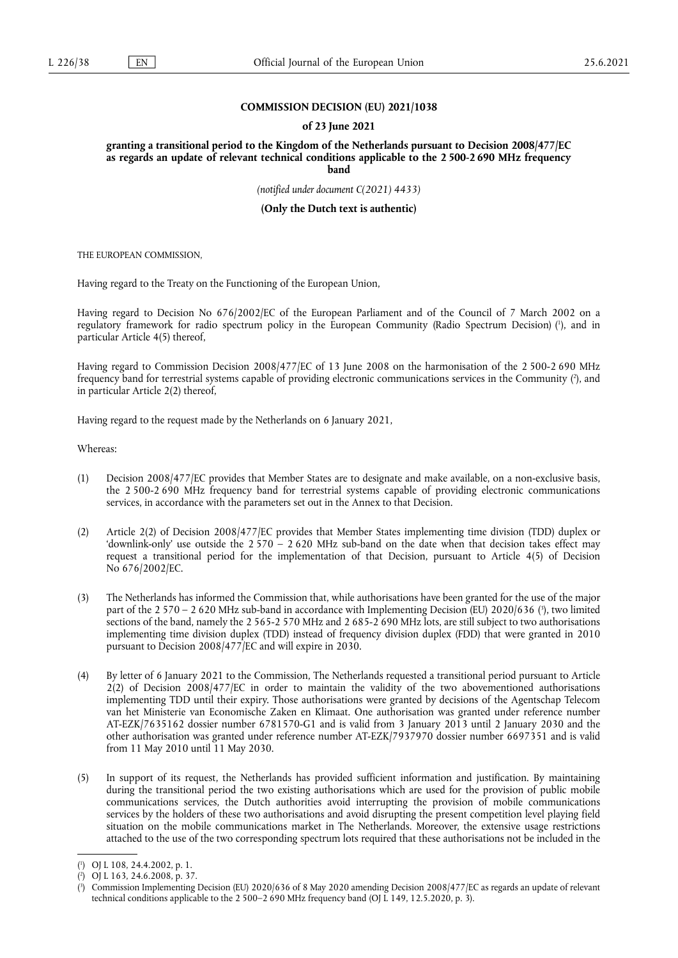### **COMMISSION DECISION (EU) 2021/1038**

#### **of 23 June 2021**

**granting a transitional period to the Kingdom of the Netherlands pursuant to Decision 2008/477/EC as regards an update of relevant technical conditions applicable to the 2 500-2 690 MHz frequency band** 

*(notified under document C(2021) 4433)* 

**(Only the Dutch text is authentic)** 

THE EUROPEAN COMMISSION,

Having regard to the Treaty on the Functioning of the European Union,

<span id="page-0-3"></span>Having regard to Decision No 676/2002/EC of the European Parliament and of the Council of 7 March 2002 on a regulatory framework for radio spectrum policy in the European Community (Radio Spectrum Decision) [\(](#page-0-0) 1 ), and in particular Article 4(5) thereof,

<span id="page-0-4"></span>Having regard to Commission Decision 2008/477/EC of 13 June 2008 on the harmonisation of the 2 500-2 690 MHz frequency band for terrestrial systems capable of providing electronic communications services in the Community (?[\),](#page-0-1) and in particular Article 2(2) thereof,

Having regard to the request made by the Netherlands on 6 January 2021,

Whereas:

- (1) Decision 2008/477/EC provides that Member States are to designate and make available, on a non-exclusive basis, the 2 500-2 690 MHz frequency band for terrestrial systems capable of providing electronic communications services, in accordance with the parameters set out in the Annex to that Decision.
- (2) Article 2(2) of Decision 2008/477/EC provides that Member States implementing time division (TDD) duplex or 'downlink-only' use outside the 2 570 – 2 620 MHz sub-band on the date when that decision takes effect may request a transitional period for the implementation of that Decision, pursuant to Article 4(5) of Decision No 676/2002/EC.
- <span id="page-0-5"></span>(3) The Netherlands has informed the Commission that, while authorisations have been granted for the use of the major part of the 2 570 – 2 620 MHz sub-band in accordance with Implementing Decision (EU) 2020/636 [\(](#page-0-2) 3 ), two limited sections of the band, namely the 2 565-2 570 MHz and 2 685-2 690 MHz lots, are still subject to two authorisations implementing time division duplex (TDD) instead of frequency division duplex (FDD) that were granted in 2010 pursuant to Decision 2008/477/EC and will expire in 2030.
- (4) By letter of 6 January 2021 to the Commission, The Netherlands requested a transitional period pursuant to Article 2(2) of Decision 2008/477/EC in order to maintain the validity of the two abovementioned authorisations implementing TDD until their expiry. Those authorisations were granted by decisions of the Agentschap Telecom van het Ministerie van Economische Zaken en Klimaat. One authorisation was granted under reference number AT-EZK/7635162 dossier number 6781570-G1 and is valid from 3 January 2013 until 2 January 2030 and the other authorisation was granted under reference number AT-EZK/7937970 dossier number 6697351 and is valid from 11 May 2010 until 11 May 2030.
- (5) In support of its request, the Netherlands has provided sufficient information and justification. By maintaining during the transitional period the two existing authorisations which are used for the provision of public mobile communications services, the Dutch authorities avoid interrupting the provision of mobile communications services by the holders of these two authorisations and avoid disrupting the present competition level playing field situation on the mobile communications market in The Netherlands. Moreover, the extensive usage restrictions attached to the use of the two corresponding spectrum lots required that these authorisations not be included in the

<span id="page-0-0"></span>[<sup>\(</sup>](#page-0-3) 1 ) OJ L 108, 24.4.2002, p. 1.

<span id="page-0-1"></span>[<sup>\(</sup>](#page-0-4) 2 ) OJ L 163, 24.6.2008, p. 37.

<span id="page-0-2"></span>[<sup>\(</sup>](#page-0-5) 3 ) Commission Implementing Decision (EU) 2020/636 of 8 May 2020 amending Decision 2008/477/EC as regards an update of relevant technical conditions applicable to the 2 500–2 690 MHz frequency band (OJ L 149, 12.5.2020, p. 3).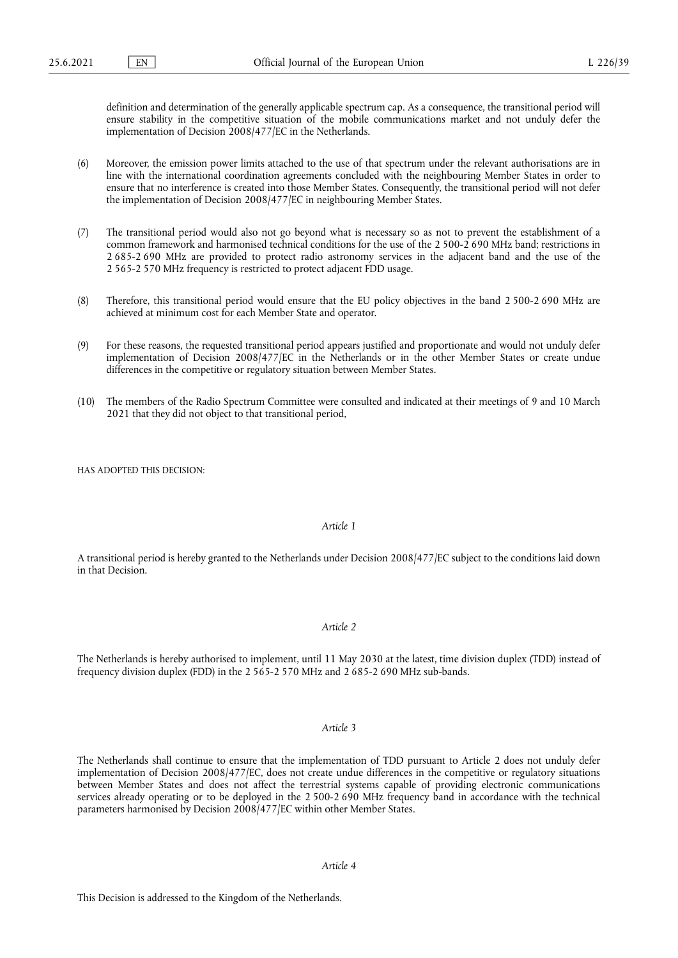definition and determination of the generally applicable spectrum cap. As a consequence, the transitional period will ensure stability in the competitive situation of the mobile communications market and not unduly defer the implementation of Decision 2008/477/EC in the Netherlands.

- (6) Moreover, the emission power limits attached to the use of that spectrum under the relevant authorisations are in line with the international coordination agreements concluded with the neighbouring Member States in order to ensure that no interference is created into those Member States. Consequently, the transitional period will not defer the implementation of Decision 2008/477/EC in neighbouring Member States.
- (7) The transitional period would also not go beyond what is necessary so as not to prevent the establishment of a common framework and harmonised technical conditions for the use of the 2 500-2 690 MHz band; restrictions in 2 685-2 690 MHz are provided to protect radio astronomy services in the adjacent band and the use of the 2 565-2 570 MHz frequency is restricted to protect adjacent FDD usage.
- (8) Therefore, this transitional period would ensure that the EU policy objectives in the band 2 500-2 690 MHz are achieved at minimum cost for each Member State and operator.
- (9) For these reasons, the requested transitional period appears justified and proportionate and would not unduly defer implementation of Decision 2008/477/EC in the Netherlands or in the other Member States or create undue differences in the competitive or regulatory situation between Member States.
- (10) The members of the Radio Spectrum Committee were consulted and indicated at their meetings of 9 and 10 March 2021 that they did not object to that transitional period,

HAS ADOPTED THIS DECISION:

### *Article 1*

A transitional period is hereby granted to the Netherlands under Decision 2008/477/EC subject to the conditions laid down in that Decision.

## *Article 2*

The Netherlands is hereby authorised to implement, until 11 May 2030 at the latest, time division duplex (TDD) instead of frequency division duplex (FDD) in the 2 565-2 570 MHz and 2 685-2 690 MHz sub-bands.

# *Article 3*

The Netherlands shall continue to ensure that the implementation of TDD pursuant to Article 2 does not unduly defer implementation of Decision 2008/477/EC, does not create undue differences in the competitive or regulatory situations between Member States and does not affect the terrestrial systems capable of providing electronic communications services already operating or to be deployed in the 2 500-2 690 MHz frequency band in accordance with the technical parameters harmonised by Decision 2008/477/EC within other Member States.

# *Article 4*

This Decision is addressed to the Kingdom of the Netherlands.